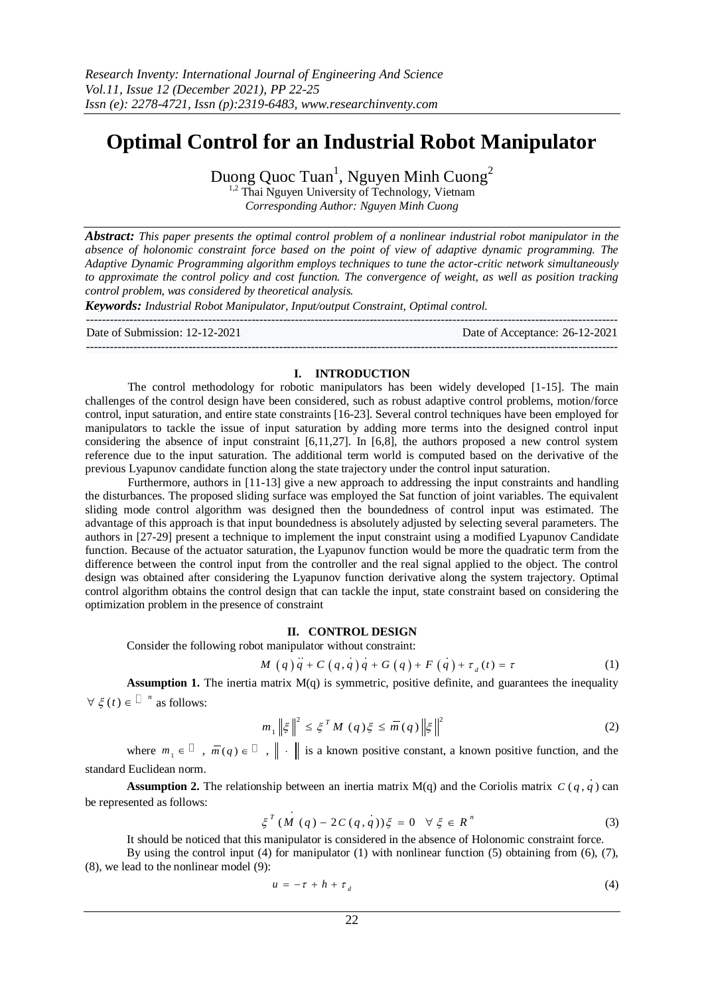# **Optimal Control for an Industrial Robot Manipulator**

Duong Quoc Tuan<sup>1</sup>, Nguyen Minh Cuong<sup>2</sup>

 $1,2$  Thai Nguyen University of Technology, Vietnam *Corresponding Author: Nguyen Minh Cuong*

*Abstract: This paper presents the optimal control problem of a nonlinear industrial robot manipulator in the absence of holonomic constraint force based on the point of view of adaptive dynamic programming. The Adaptive Dynamic Programming algorithm employs techniques to tune the actor-critic network simultaneously to approximate the control policy and cost function. The convergence of weight, as well as position tracking control problem, was considered by theoretical analysis.*

*Keywords: Industrial Robot Manipulator, Input/output Constraint, Optimal control.*

--------------------------------------------------------------------------------------------------------------------------------------- Date of Submission: 12-12-2021 Date of Acceptance: 26-12-2021 ---------------------------------------------------------------------------------------------------------------------------------------

## **I. INTRODUCTION**

The control methodology for robotic manipulators has been widely developed [1-15]. The main challenges of the control design have been considered, such as robust adaptive control problems, motion/force control, input saturation, and entire state constraints [16-23]. Several control techniques have been employed for manipulators to tackle the issue of input saturation by adding more terms into the designed control input considering the absence of input constraint [6,11,27]. In [6,8], the authors proposed a new control system reference due to the input saturation. The additional term world is computed based on the derivative of the previous Lyapunov candidate function along the state trajectory under the control input saturation.

Furthermore, authors in [11-13] give a new approach to addressing the input constraints and handling the disturbances. The proposed sliding surface was employed the Sat function of joint variables. The equivalent sliding mode control algorithm was designed then the boundedness of control input was estimated. The advantage of this approach is that input boundedness is absolutely adjusted by selecting several parameters. The authors in [27-29] present a technique to implement the input constraint using a modified Lyapunov Candidate function. Because of the actuator saturation, the Lyapunov function would be more the quadratic term from the difference between the control input from the controller and the real signal applied to the object. The control design was obtained after considering the Lyapunov function derivative along the system trajectory. Optimal control algorithm obtains the control design that can tackle the input, state constraint based on considering the optimization problem in the presence of constraint

## **II. CONTROL DESIGN**

Consider the following robot manipulator without constraint:  
\n
$$
M(q)q + C(q, q)q + G(q) + F(q) + \tau_a(t) = \tau
$$
\n(1)

**Assumption 1.** The inertia matrix  $M(q)$  is symmetric, positive definite, and guarantees the inequality  $\forall \xi(t) \in \mathbb{I}^n$  as follows:

$$
m_1 \| \xi \|^2 \le \xi^T M (q) \xi \le \overline{m} (q) \| \xi \|^2
$$
 (2)

where  $m_1 \in \mathbb{I}$ ,  $\overline{m}(q) \in \mathbb{I}$ ,  $\|\cdot\|$  is a known positive constant, a known positive function, and the standard Euclidean norm.

**Assumption 2.** The relationship between an inertia matrix  $M(q)$  and the Coriolis matrix  $C(q, q)$  can be represented as follows:

$$
\xi^{T} (M (q) - 2C(q, q)) \xi = 0 \quad \forall \xi \in R^{n}
$$
 (3)

It should be noticed that this manipulator is considered in the absence of Holonomic constraint force.

By using the control input (4) for manipulator (1) with nonlinear function (5) obtaining from (6), (7), (8), we lead to the nonlinear model (9):

$$
u = -\tau + h + \tau_{d} \tag{4}
$$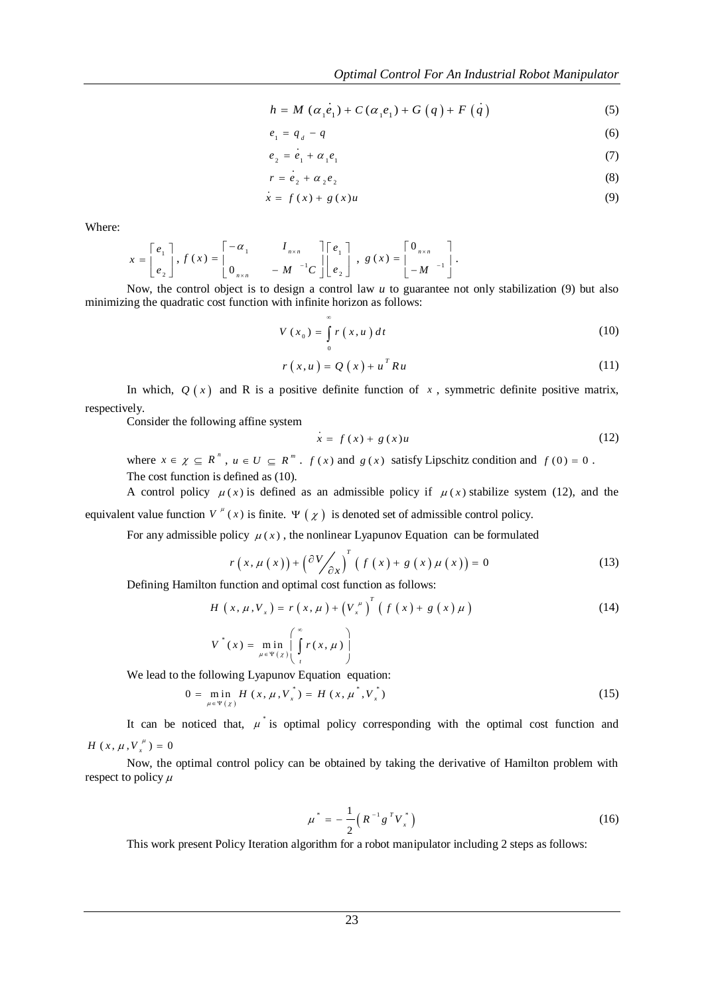$$
h = M\left(\alpha_1 e_1\right) + C\left(\alpha_1 e_1\right) + G\left(q\right) + F\left(q\right)
$$
\n(5)

$$
e_1 = q_d - q \tag{6}
$$

$$
e_2 = \dot{e}_1 + \alpha_1 e_1 \tag{7}
$$

$$
r = \dot{e}_2 + \alpha_2 e_2 \tag{8}
$$

$$
\dot{x} = f(x) + g(x)u \tag{9}
$$

Where:

$$
x = \begin{bmatrix} e_1 \\ e_2 \end{bmatrix}, f(x) = \begin{bmatrix} -\alpha_1 & I_{n \times n} \\ 0_{n \times n} & -M \end{bmatrix} \begin{bmatrix} e_1 \\ e_2 \end{bmatrix}, g(x) = \begin{bmatrix} 0_{n \times n} \\ -M \end{bmatrix}.
$$

Now, the control object is to design a control law *u* to guarantee not only stabilization (9) but also minimizing the quadratic cost function with infinite horizon as follows:

$$
V(x_0) = \int_{0}^{\infty} r(x, u) dt
$$
 (10)

$$
r(x, u) = Q(x) + u^{T} R u
$$
\n(11)

In which,  $Q(x)$  and R is a positive definite function of x, symmetric definite positive matrix, respectively.

Consider the following affine system

$$
\dot{x} = f(x) + g(x)u \tag{12}
$$

where  $x \in \chi \subseteq R^n$ ,  $u \in U \subseteq R^m$ .  $f(x)$  and  $g(x)$  satisfy Lipschitz condition and  $f(0) = 0$ . The cost function is defined as (10).

A control policy  $\mu(x)$  is defined as an admissible policy if  $\mu(x)$  stabilize system (12), and the equivalent value function  $V^{\mu}(x)$  is finite.  $\Psi(\chi)$  is denoted set of admissible control policy.

For any admissible policy  $\mu(x)$ , the nonlinear Lyapunov Equation can be formulated

$$
r(x, \mu(x)) + \left(\frac{\partial V}{\partial x}\right)^{T} \left(f(x) + g(x)\mu(x)\right) = 0
$$
 (13)

Defining Hamilton function and optimal cost function as follows:  
\n
$$
H(x, \mu, V_x) = r(x, \mu) + (V_x^{\mu})^T (f(x) + g(x) \mu)
$$
\n
$$
V^*(x) = \min_{\mu \in \Psi(x)} \left( \int_t^{\infty} r(x, \mu) \right)
$$
\n(14)

We lead to the following Lyapunov Equation equation:<br>  $0 = \min_{m \in \mathcal{M}} H(x, \mu, V_x^*) = H(x, \mu^*, V_x^*)$ 

$$
0 = \min_{\mu \in \Psi(\chi)} H(x, \mu, V_x^*) = H(x, \mu^*, V_x^*)
$$
 (15)

It can be noticed that,  $\mu^*$  is optimal policy corresponding with the optimal cost function and  $H(x, \mu, V_x^{\mu}) = 0$ 

Now, the optimal control policy can be obtained by taking the derivative of Hamilton problem with respect to policy  $\mu$ 

$$
\mu^* = -\frac{1}{2} \left( R^{-1} g^T V_x^* \right) \tag{16}
$$

This work present Policy Iteration algorithm for a robot manipulator including 2 steps as follows: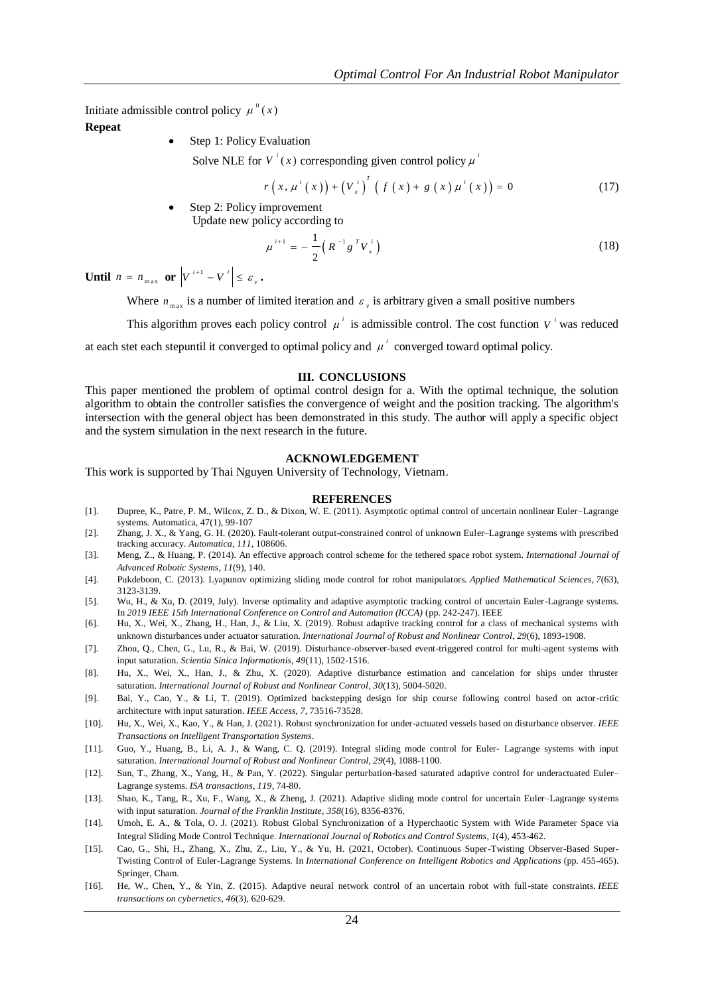Initiate admissible control policy  $\mu^{0}(x)$ 

**Repeat**

Step 1: Policy Evaluation

Solve NLE for  $V^i(x)$  corresponding given control policy  $\mu^i$ 

$$
r(x, \mu^{i}(x)) + (V_{x}^{i})^{T} (f(x) + g(x) \mu^{i}(x)) = 0
$$
 (17)

 Step 2: Policy improvement Update new policy according to

$$
\mu^{i+1} = -\frac{1}{2} \left( R^{-1} g^{T} V_{x}^{i} \right)
$$
 (18)

**Until**  $n = n_{max}$  or  $V^{i+1} - V^{i}$  $V^{i+1} - V^{i} \leq \varepsilon_{v}$ .

Where  $n_{\text{max}}$  is a number of limited iteration and  $\varepsilon$ , is arbitrary given a small positive numbers

This algorithm proves each policy control  $\mu^i$  is admissible control. The cost function  $V^i$  was reduced

at each stet each stepuntil it converged to optimal policy and  $\mu^i$  converged toward optimal policy.

#### **III. CONCLUSIONS**

This paper mentioned the problem of optimal control design for a. With the optimal technique, the solution algorithm to obtain the controller satisfies the convergence of weight and the position tracking. The algorithm's intersection with the general object has been demonstrated in this study. The author will apply a specific object and the system simulation in the next research in the future.

### **ACKNOWLEDGEMENT**

This work is supported by Thai Nguyen University of Technology, Vietnam.

#### **REFERENCES**

- [1]. Dupree, K., Patre, P. M., Wilcox, Z. D., & Dixon, W. E. (2011). Asymptotic optimal control of uncertain nonlinear Euler–Lagrange systems. Automatica, 47(1), 99-107
- [2]. Zhang, J. X., & Yang, G. H. (2020). Fault-tolerant output-constrained control of unknown Euler–Lagrange systems with prescribed tracking accuracy. *Automatica*, *111*, 108606.
- [3]. Meng, Z., & Huang, P. (2014). An effective approach control scheme for the tethered space robot system. *International Journal of Advanced Robotic Systems*, *11*(9), 140.
- [4]. Pukdeboon, C. (2013). Lyapunov optimizing sliding mode control for robot manipulators. *Applied Mathematical Sciences*, *7*(63), 3123-3139.
- [5]. Wu, H., & Xu, D. (2019, July). Inverse optimality and adaptive asymptotic tracking control of uncertain Euler-Lagrange systems. In *2019 IEEE 15th International Conference on Control and Automation (ICCA)* (pp. 242-247). IEEE
- [6]. Hu, X., Wei, X., Zhang, H., Han, J., & Liu, X. (2019). Robust adaptive tracking control for a class of mechanical systems with unknown disturbances under actuator saturation. *International Journal of Robust and Nonlinear Control*, *29*(6), 1893-1908.
- [7]. Zhou, Q., Chen, G., Lu, R., & Bai, W. (2019). Disturbance-observer-based event-triggered control for multi-agent systems with input saturation. *Scientia Sinica Informationis*, *49*(11), 1502-1516.
- [8]. Hu, X., Wei, X., Han, J., & Zhu, X. (2020). Adaptive disturbance estimation and cancelation for ships under thruster saturation. *International Journal of Robust and Nonlinear Control*, *30*(13), 5004-5020.
- [9]. Bai, Y., Cao, Y., & Li, T. (2019). Optimized backstepping design for ship course following control based on actor-critic architecture with input saturation. *IEEE Access*, *7*, 73516-73528.
- [10]. Hu, X., Wei, X., Kao, Y., & Han, J. (2021). Robust synchronization for under-actuated vessels based on disturbance observer. *IEEE Transactions on Intelligent Transportation Systems*.
- [11]. Guo, Y., Huang, B., Li, A. J., & Wang, C. Q. (2019). Integral sliding mode control for Euler-Lagrange systems with input saturation. *International Journal of Robust and Nonlinear Control*, *29*(4), 1088-1100.
- [12]. Sun, T., Zhang, X., Yang, H., & Pan, Y. (2022). Singular perturbation-based saturated adaptive control for underactuated Euler– Lagrange systems. *ISA transactions*, *119*, 74-80.
- [13]. Shao, K., Tang, R., Xu, F., Wang, X., & Zheng, J. (2021). Adaptive sliding mode control for uncertain Euler–Lagrange systems with input saturation. *Journal of the Franklin Institute*, *358*(16), 8356-8376.
- [14]. Umoh, E. A., & Tola, O. J. (2021). Robust Global Synchronization of a Hyperchaotic System with Wide Parameter Space via Integral Sliding Mode Control Technique. *International Journal of Robotics and Control Systems*, *1*(4), 453-462.
- [15]. Cao, G., Shi, H., Zhang, X., Zhu, Z., Liu, Y., & Yu, H. (2021, October). Continuous Super-Twisting Observer-Based Super-Twisting Control of Euler-Lagrange Systems. In *International Conference on Intelligent Robotics and Applications* (pp. 455-465). Springer, Cham.
- [16]. He, W., Chen, Y., & Yin, Z. (2015). Adaptive neural network control of an uncertain robot with full-state constraints. *IEEE transactions on cybernetics*, *46*(3), 620-629.